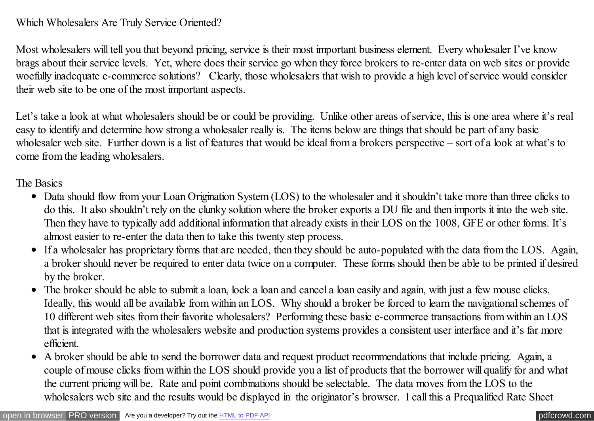## Which Wholesalers Are Truly Service Oriented?

Most wholesalers will tell you that beyond pricing, service is their most important business element. Every wholesaler I've know brags about their service levels. Yet, where does their service go when they force brokers to re-enter data on web sites or provide woefully inadequate e-commerce solutions? Clearly, those wholesalers that wish to provide a high level of service would consider their web site to be one of the most important aspects.

Let's take a look at what wholesalers should be or could be providing. Unlike other areas of service, this is one area where it's real easy to identify and determine how strong a wholesaler really is. The items below are things that should be part of any basic wholesaler web site. Further down is a list of features that would be ideal from a brokers perspective – sort of a look at what's to come from the leading wholesalers.

The Basics

- Data should flow from your Loan Origination System (LOS) to the wholesaler and it shouldn't take more than three clicks to do this. It also shouldn't rely on the clunky solution where the broker exports a DU file and then imports it into the web site. Then they have to typically add additional information that already exists in their LOS on the 1008, GFE or other forms. It's almost easier to re-enter the data then to take this twenty step process.
- If a wholesaler has proprietary forms that are needed, then they should be auto-populated with the data from the LOS. Again, a broker should never be required to enter data twice on a computer. These forms should then be able to be printed if desired by the broker.
- The broker should be able to submit a loan, lock a loan and cancel a loan easily and again, with just a few mouse clicks. Ideally, this would all be available from within an LOS. Why should a broker be forced to learn the navigational schemes of 10 different web sites from their favorite wholesalers? Performing these basic e-commerce transactions from within an LOS that is integrated with the wholesalers website and production systems provides a consistent user interface and it's far more efficient.
- A broker should be able to send the borrower data and request product recommendations that include pricing. Again, a couple of mouse clicks from within the LOS should provide you a list of products that the borrower will qualify for and what the current pricing will be. Rate and point combinations should be selectable. The data moves from the LOS to the wholesalers web site and the results would be displayed in the originator's browser. I call this a Prequalified Rate Sheet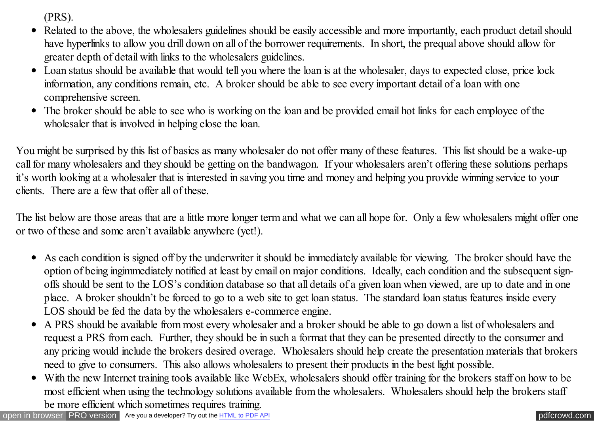(PRS).

- Related to the above, the wholesalers guidelines should be easily accessible and more importantly, each product detail should  $\bullet$ have hyperlinks to allow you drill down on all of the borrower requirements. In short, the prequal above should allow for greater depth of detail with links to the wholesalers guidelines.
- Loan status should be available that would tell you where the loan is at the wholesaler, days to expected close, price lock information, any conditions remain, etc. A broker should be able to see every important detail of a loan with one comprehensive screen.
- The broker should be able to see who is working on the loan and be provided email hot links for each employee of the wholesaler that is involved in helping close the loan.

You might be surprised by this list of basics as many wholesaler do not offer many of these features. This list should be a wake-up call for many wholesalers and they should be getting on the bandwagon. If your wholesalers aren't offering these solutions perhaps it's worth looking at a wholesaler that is interested in saving you time and money and helping you provide winning service to your clients. There are a few that offer all of these.

The list below are those areas that are a little more longer term and what we can all hope for. Only a few wholesalers might offer one or two of these and some aren't available anywhere (yet!).

- As each condition is signed off by the underwriter it should be immediately available for viewing. The broker should have the option of being ingimmediately notified at least by email on major conditions. Ideally, each condition and the subsequent signoffs should be sent to the LOS's condition database so that all details of a given loan when viewed, are up to date and in one place. A broker shouldn't be forced to go to a web site to get loan status. The standard loan status features inside every LOS should be fed the data by the wholesalers e-commerce engine.
- A PRS should be available from most every wholesaler and a broker should be able to go down a list of wholesalers and  $\bullet$ request a PRS from each. Further, they should be in such a format that they can be presented directly to the consumer and any pricing would include the brokers desired overage. Wholesalers should help create the presentation materials that brokers need to give to consumers. This also allows wholesalers to present their products in the best light possible.
- With the new Internet training tools available like WebEx, wholesalers should offer training for the brokers staff on how to be most efficient when using the technology solutions available from the wholesalers. Wholesalers should help the brokers staff be more efficient which sometimes requires training.